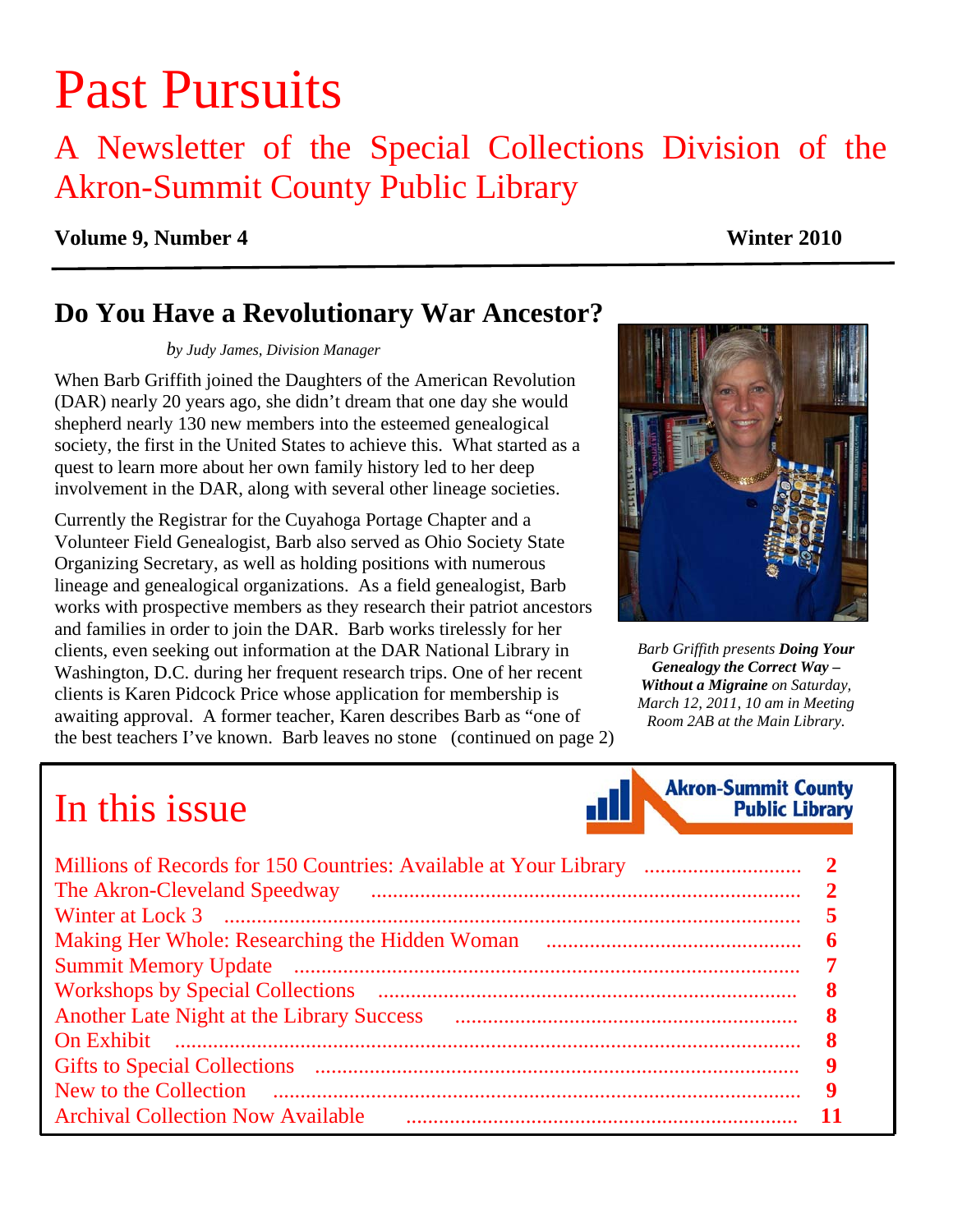# Past Pursuits

## A Newsletter of the Special Collections Division of the Akron-Summit County Public Library

#### **Volume 9, Number 4** Winter 2010

### **Do You Have a Revolutionary War Ancestor?**

*by Judy James, Division Manager* 

When Barb Griffith joined the Daughters of the American Revolution (DAR) nearly 20 years ago, she didn't dream that one day she would shepherd nearly 130 new members into the esteemed genealogical society, the first in the United States to achieve this. What started as a quest to learn more about her own family history led to her deep involvement in the DAR, along with several other lineage societies.

Currently the Registrar for the Cuyahoga Portage Chapter and a Volunteer Field Genealogist, Barb also served as Ohio Society State Organizing Secretary, as well as holding positions with numerous lineage and genealogical organizations. As a field genealogist, Barb works with prospective members as they research their patriot ancestors and families in order to join the DAR. Barb works tirelessly for her clients, even seeking out information at the DAR National Library in Washington, D.C. during her frequent research trips. One of her recent clients is Karen Pidcock Price whose application for membership is awaiting approval. A former teacher, Karen describes Barb as "one of the best teachers I've known. Barb leaves no stone [\(continued on page 2\)](#page-1-0)



*Barb Griffith presents Doing Your Genealogy the Correct Way – Without a Migraine on Saturday, March 12, 2011, 10 am in Meeting Room 2AB at the Main Library.* 

## In this issue



| <b>Another Late Night at the Library Success</b> |   |
|--------------------------------------------------|---|
|                                                  |   |
|                                                  | 9 |
|                                                  | 9 |
| <b>Archival Collection Now Available</b>         |   |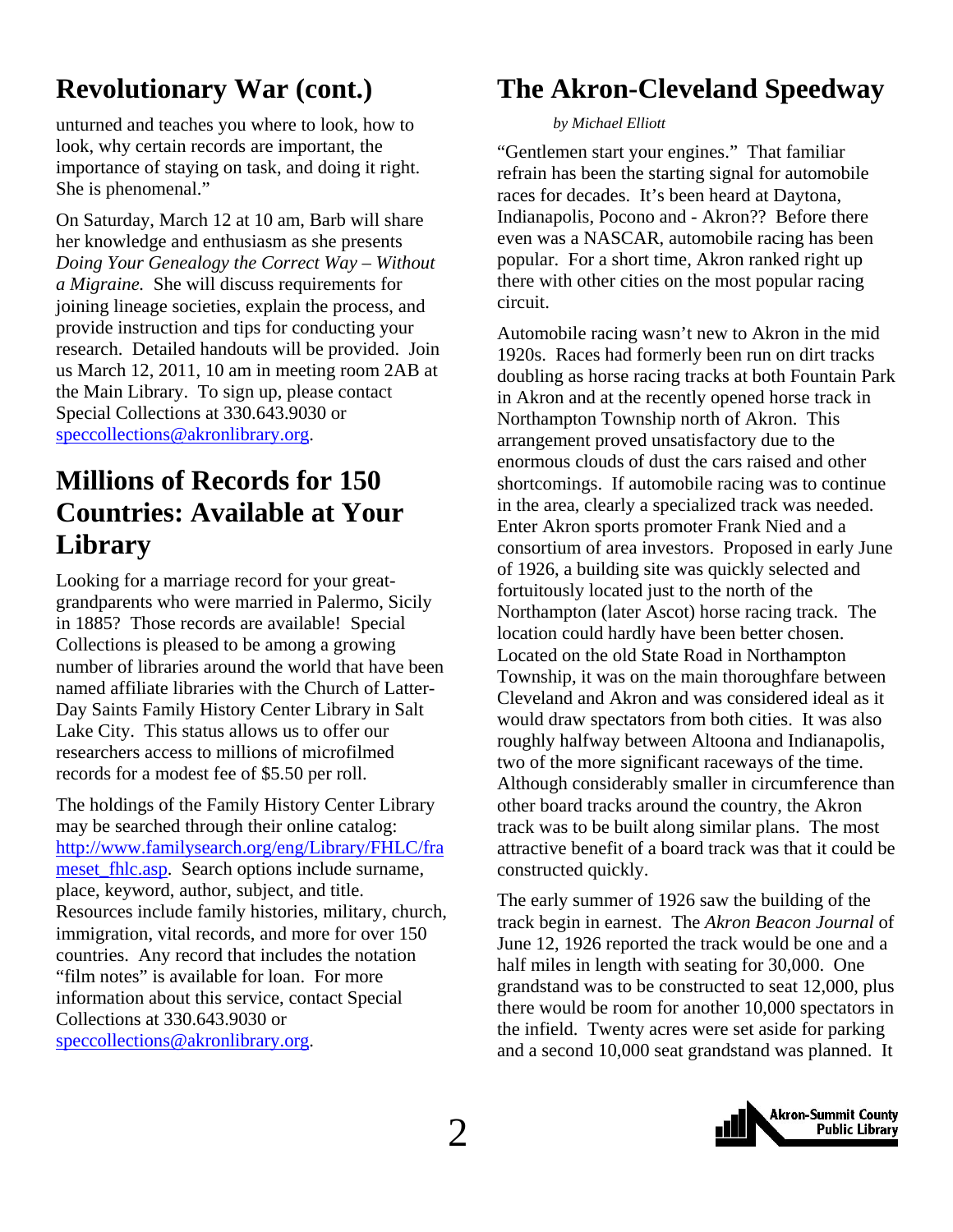### <span id="page-1-0"></span>**Revolutionary War (cont.)**

unturned and teaches you where to look, how to look, why certain records are important, the importance of staying on task, and doing it right. She is phenomenal."

On Saturday, March 12 at 10 am, Barb will share her knowledge and enthusiasm as she presents *Doing Your Genealogy the Correct Way – Without a Migraine.* She will discuss requirements for joining lineage societies, explain the process, and provide instruction and tips for conducting your research. Detailed handouts will be provided. Join us March 12, 2011, 10 am in meeting room 2AB at the Main Library. To sign up, please contact Special Collections at 330.643.9030 or speccollections@akronlibrary.org.

### **Millions of Records for 150 Countries: Available at Your Library**

Looking for a marriage record for your greatgrandparents who were married in Palermo, Sicily in 1885? Those records are available! Special Collections is pleased to be among a growing number of libraries around the world that have been named affiliate libraries with the Church of Latter-Day Saints Family History Center Library in Salt Lake City. This status allows us to offer our researchers access to millions of microfilmed records for a modest fee of \$5.50 per roll.

The holdings of the Family History Center Library may be searched through their online catalog: [http://www.familysearch.org/eng/Library/FHLC/fra](http://www.familysearch.org/eng/Library/FHLC/frameset_fhlc.asp) meset fhlc.asp. Search options include surname, place, keyword, author, subject, and title. Resources include family histories, military, church, immigration, vital records, and more for over 150 countries. Any record that includes the notation "film notes" is available for loan. For more information about this service, contact Special Collections at 330.643.9030 or speccollections@akronlibrary.org.

### **The Akron-Cleveland Speedway**

#### *by Michael Elliott*

"Gentlemen start your engines." That familiar refrain has been the starting signal for automobile races for decades. It's been heard at Daytona, Indianapolis, Pocono and - Akron?? Before there even was a NASCAR, automobile racing has been popular. For a short time, Akron ranked right up there with other cities on the most popular racing circuit.

Automobile racing wasn't new to Akron in the mid 1920s. Races had formerly been run on dirt tracks doubling as horse racing tracks at both Fountain Park in Akron and at the recently opened horse track in Northampton Township north of Akron. This arrangement proved unsatisfactory due to the enormous clouds of dust the cars raised and other shortcomings. If automobile racing was to continue in the area, clearly a specialized track was needed. Enter Akron sports promoter Frank Nied and a consortium of area investors. Proposed in early June of 1926, a building site was quickly selected and fortuitously located just to the north of the Northampton (later Ascot) horse racing track. The location could hardly have been better chosen. Located on the old State Road in Northampton Township, it was on the main thoroughfare between Cleveland and Akron and was considered ideal as it would draw spectators from both cities. It was also roughly halfway between Altoona and Indianapolis, two of the more significant raceways of the time. Although considerably smaller in circumference than other board tracks around the country, the Akron track was to be built along similar plans. The most attractive benefit of a board track was that it could be constructed quickly.

The early summer of 1926 saw the building of the track begin in earnest. The *Akron Beacon Journal* of June 12, 1926 reported the track would be one and a half miles in length with seating for 30,000. One grandstand was to be constructed to seat 12,000, plus there would be room for another 10,000 spectators in the infield. Twenty acres were set aside for parking and a second 10,000 seat grandstand was planned. It

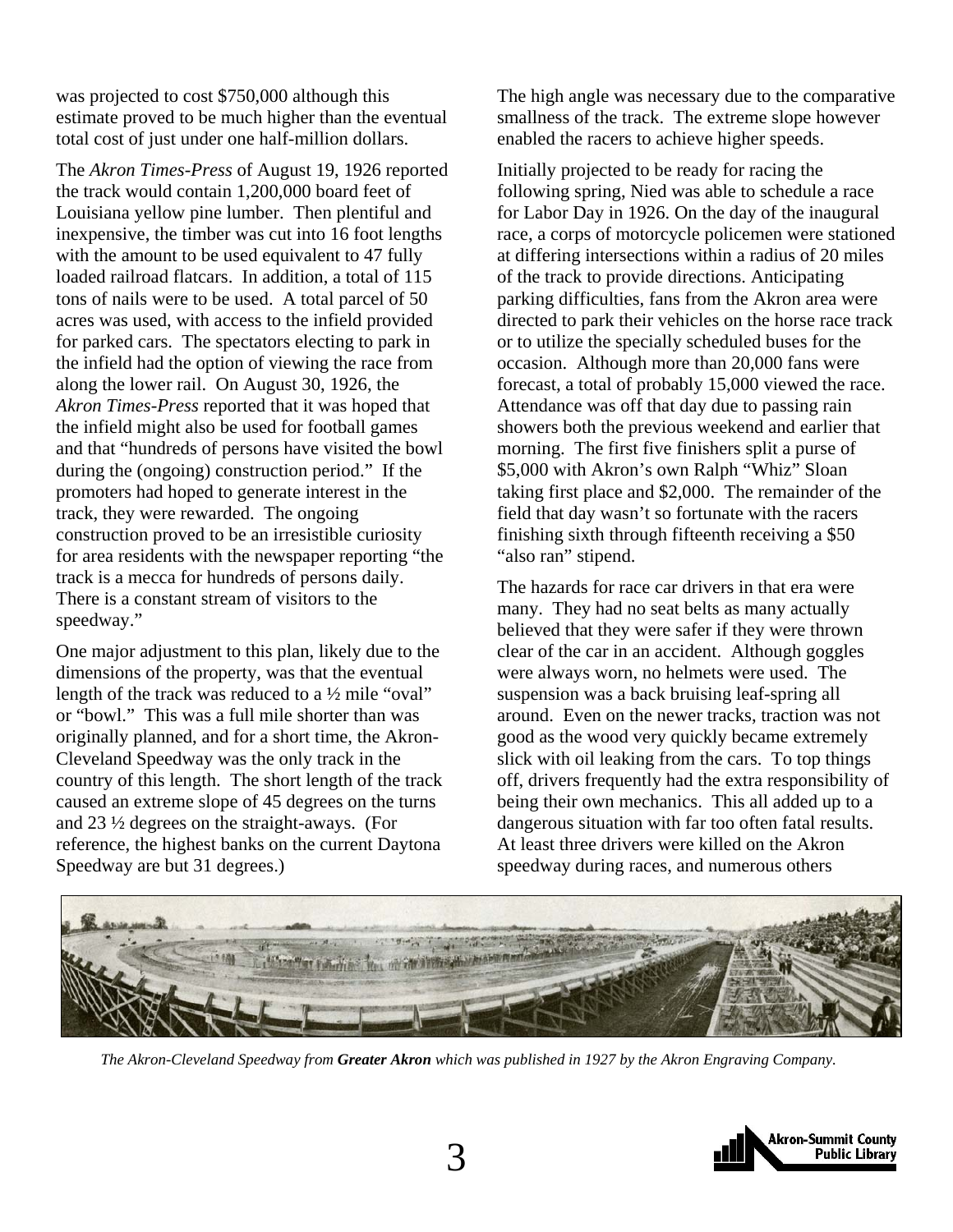was projected to cost \$750,000 although this estimate proved to be much higher than the eventual total cost of just under one half-million dollars.

The *Akron Times-Press* of August 19, 1926 reported the track would contain 1,200,000 board feet of Louisiana yellow pine lumber. Then plentiful and inexpensive, the timber was cut into 16 foot lengths with the amount to be used equivalent to 47 fully loaded railroad flatcars. In addition, a total of 115 tons of nails were to be used. A total parcel of 50 acres was used, with access to the infield provided for parked cars. The spectators electing to park in the infield had the option of viewing the race from along the lower rail. On August 30, 1926, the *Akron Times-Press* reported that it was hoped that the infield might also be used for football games and that "hundreds of persons have visited the bowl during the (ongoing) construction period." If the promoters had hoped to generate interest in the track, they were rewarded. The ongoing construction proved to be an irresistible curiosity for area residents with the newspaper reporting "the track is a mecca for hundreds of persons daily. There is a constant stream of visitors to the speedway."

One major adjustment to this plan, likely due to the dimensions of the property, was that the eventual length of the track was reduced to a ½ mile "oval" or "bowl." This was a full mile shorter than was originally planned, and for a short time, the Akron-Cleveland Speedway was the only track in the country of this length. The short length of the track caused an extreme slope of 45 degrees on the turns and 23 ½ degrees on the straight-aways. (For reference, the highest banks on the current Daytona Speedway are but 31 degrees.)

The high angle was necessary due to the comparative smallness of the track. The extreme slope however enabled the racers to achieve higher speeds.

Initially projected to be ready for racing the following spring, Nied was able to schedule a race for Labor Day in 1926. On the day of the inaugural race, a corps of motorcycle policemen were stationed at differing intersections within a radius of 20 miles of the track to provide directions. Anticipating parking difficulties, fans from the Akron area were directed to park their vehicles on the horse race track or to utilize the specially scheduled buses for the occasion. Although more than 20,000 fans were forecast, a total of probably 15,000 viewed the race. Attendance was off that day due to passing rain showers both the previous weekend and earlier that morning. The first five finishers split a purse of \$5,000 with Akron's own Ralph "Whiz" Sloan taking first place and \$2,000. The remainder of the field that day wasn't so fortunate with the racers finishing sixth through fifteenth receiving a \$50 "also ran" stipend.

The hazards for race car drivers in that era were many. They had no seat belts as many actually believed that they were safer if they were thrown clear of the car in an accident. Although goggles were always worn, no helmets were used. The suspension was a back bruising leaf-spring all around. Even on the newer tracks, traction was not good as the wood very quickly became extremely slick with oil leaking from the cars. To top things off, drivers frequently had the extra responsibility of being their own mechanics. This all added up to a dangerous situation with far too often fatal results. At least three drivers were killed on the Akron speedway during races, and numerous others



*The Akron-Cleveland Speedway from Greater Akron which was published in 1927 by the Akron Engraving Company.* 

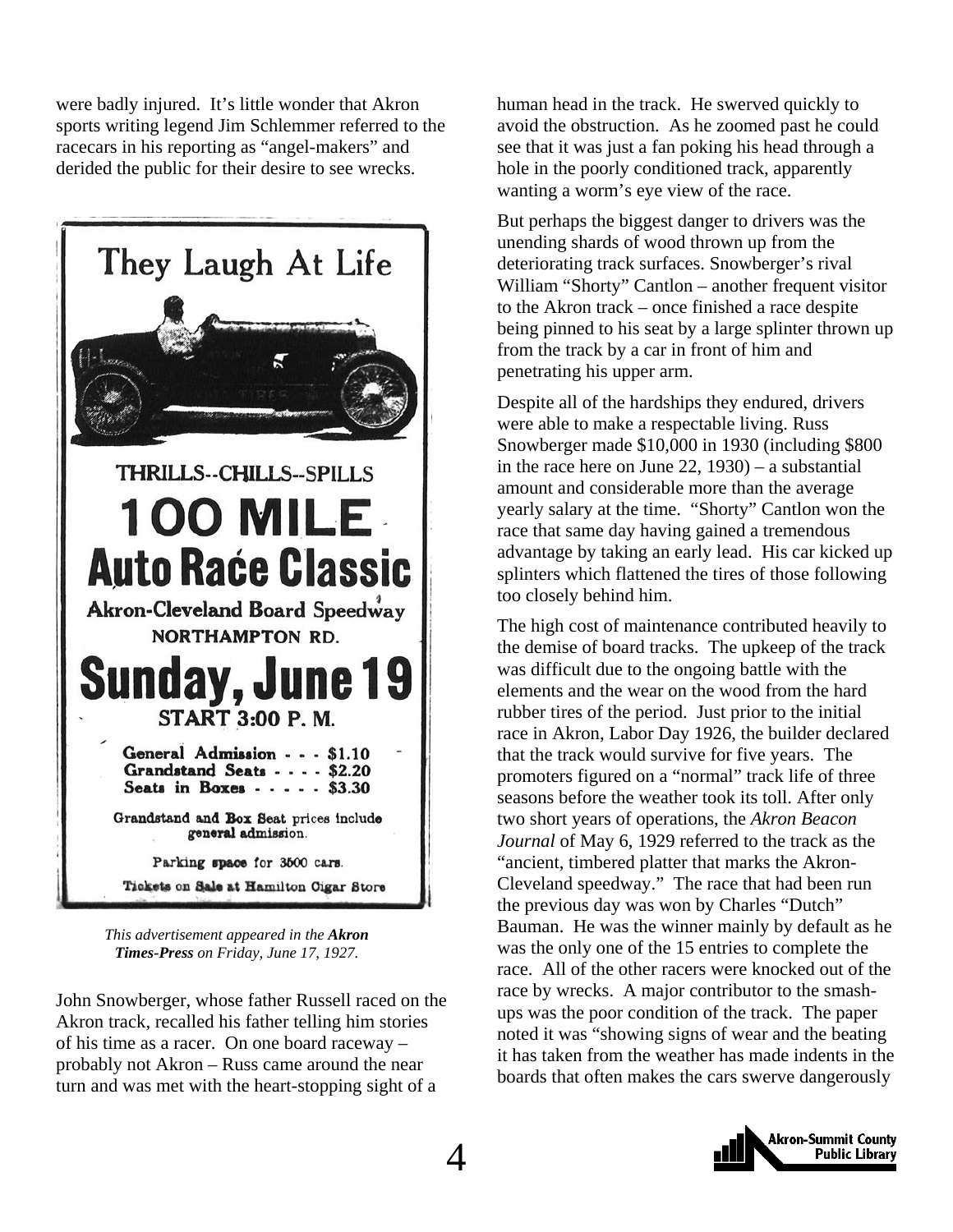were badly injured. It's little wonder that Akron sports writing legend Jim Schlemmer referred to the racecars in his reporting as "angel-makers" and derided the public for their desire to see wrecks.



*This advertisement appeared in the Akron Times-Press on Friday, June 17, 1927.* 

John Snowberger, whose father Russell raced on the Akron track, recalled his father telling him stories of his time as a racer. On one board raceway – probably not Akron – Russ came around the near turn and was met with the heart-stopping sight of a

human head in the track. He swerved quickly to avoid the obstruction. As he zoomed past he could see that it was just a fan poking his head through a hole in the poorly conditioned track, apparently wanting a worm's eye view of the race.

But perhaps the biggest danger to drivers was the unending shards of wood thrown up from the deteriorating track surfaces. Snowberger's rival William "Shorty" Cantlon – another frequent visitor to the Akron track – once finished a race despite being pinned to his seat by a large splinter thrown up from the track by a car in front of him and penetrating his upper arm.

Despite all of the hardships they endured, drivers were able to make a respectable living. Russ Snowberger made \$10,000 in 1930 (including \$800 in the race here on June 22, 1930) – a substantial amount and considerable more than the average yearly salary at the time. "Shorty" Cantlon won the race that same day having gained a tremendous advantage by taking an early lead. His car kicked up splinters which flattened the tires of those following too closely behind him.

The high cost of maintenance contributed heavily to the demise of board tracks. The upkeep of the track was difficult due to the ongoing battle with the elements and the wear on the wood from the hard rubber tires of the period. Just prior to the initial race in Akron, Labor Day 1926, the builder declared that the track would survive for five years. The promoters figured on a "normal" track life of three seasons before the weather took its toll. After only two short years of operations, the *Akron Beacon Journal* of May 6, 1929 referred to the track as the "ancient, timbered platter that marks the Akron-Cleveland speedway." The race that had been run the previous day was won by Charles "Dutch" Bauman. He was the winner mainly by default as he was the only one of the 15 entries to complete the race. All of the other racers were knocked out of the race by wrecks. A major contributor to the smashups was the poor condition of the track. The paper noted it was "showing signs of wear and the beating it has taken from the weather has made indents in the boards that often makes the cars swerve dangerously

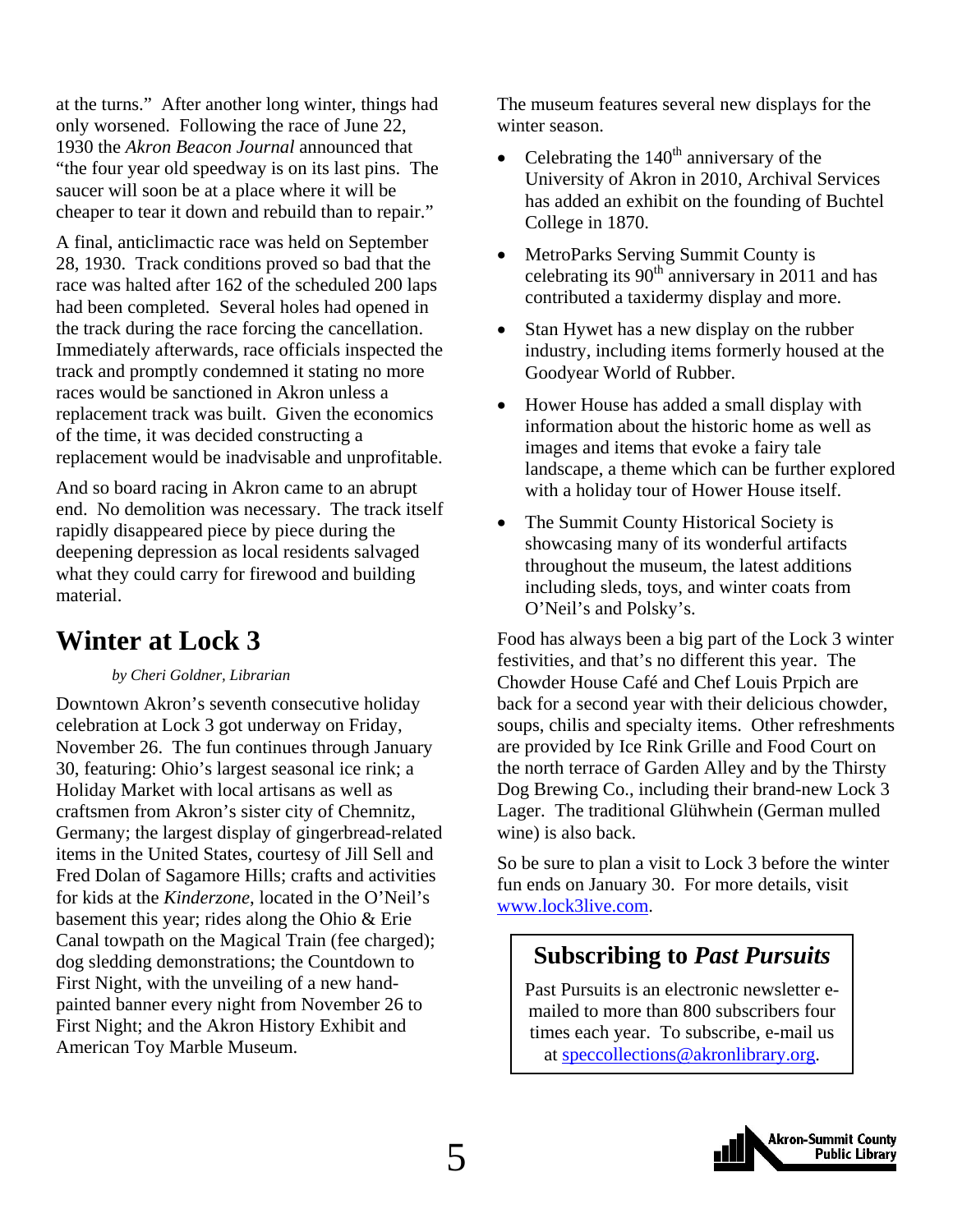<span id="page-4-0"></span>at the turns." After another long winter, things had only worsened. Following the race of June 22, 1930 the *Akron Beacon Journal* announced that "the four year old speedway is on its last pins. The saucer will soon be at a place where it will be cheaper to tear it down and rebuild than to repair."

A final, anticlimactic race was held on September 28, 1930. Track conditions proved so bad that the race was halted after 162 of the scheduled 200 laps had been completed. Several holes had opened in the track during the race forcing the cancellation. Immediately afterwards, race officials inspected the track and promptly condemned it stating no more races would be sanctioned in Akron unless a replacement track was built. Given the economics of the time, it was decided constructing a replacement would be inadvisable and unprofitable.

And so board racing in Akron came to an abrupt end. No demolition was necessary. The track itself rapidly disappeared piece by piece during the deepening depression as local residents salvaged what they could carry for firewood and building material.

### **Winter at Lock 3**

#### *by Cheri Goldner, Librarian*

Downtown Akron's seventh consecutive holiday celebration at Lock 3 got underway on Friday, November 26. The fun continues through January 30, featuring: Ohio's largest seasonal ice rink; a Holiday Market with local artisans as well as craftsmen from Akron's sister city of Chemnitz, Germany; the largest display of gingerbread-related items in the United States, courtesy of Jill Sell and Fred Dolan of Sagamore Hills; crafts and activities for kids at the *Kinderzone*, located in the O'Neil's basement this year; rides along the Ohio & Erie Canal towpath on the Magical Train (fee charged); dog sledding demonstrations; the Countdown to First Night, with the unveiling of a new handpainted banner every night from November 26 to First Night; and the Akron History Exhibit and American Toy Marble Museum.

The museum features several new displays for the winter season.

- Celebrating the  $140<sup>th</sup>$  anniversary of the University of Akron in 2010, Archival Services has added an exhibit on the founding of Buchtel College in 1870.
- MetroParks Serving Summit County is celebrating its  $90<sup>th</sup>$  anniversary in 2011 and has contributed a taxidermy display and more.
- Stan Hywet has a new display on the rubber industry, including items formerly housed at the Goodyear World of Rubber.
- Hower House has added a small display with information about the historic home as well as images and items that evoke a fairy tale landscape, a theme which can be further explored with a holiday tour of Hower House itself.
- The Summit County Historical Society is showcasing many of its wonderful artifacts throughout the museum, the latest additions including sleds, toys, and winter coats from O'Neil's and Polsky's.

Food has always been a big part of the Lock 3 winter festivities, and that's no different this year. The Chowder House Café and Chef Louis Prpich are back for a second year with their delicious chowder, soups, chilis and specialty items. Other refreshments are provided by Ice Rink Grille and Food Court on the north terrace of Garden Alley and by the Thirsty Dog Brewing Co., including their brand-new Lock 3 Lager. The traditional Glühwhein (German mulled wine) is also back.

So be sure to plan a visit to Lock 3 before the winter fun ends on January 30. For more details, visit www.lock3live.com.

### **Subscribing to** *Past Pursuits*

Past Pursuits is an electronic newsletter emailed to more than 800 subscribers four times each year. To subscribe, e-mail us at speccollections@akronlibrary.org.

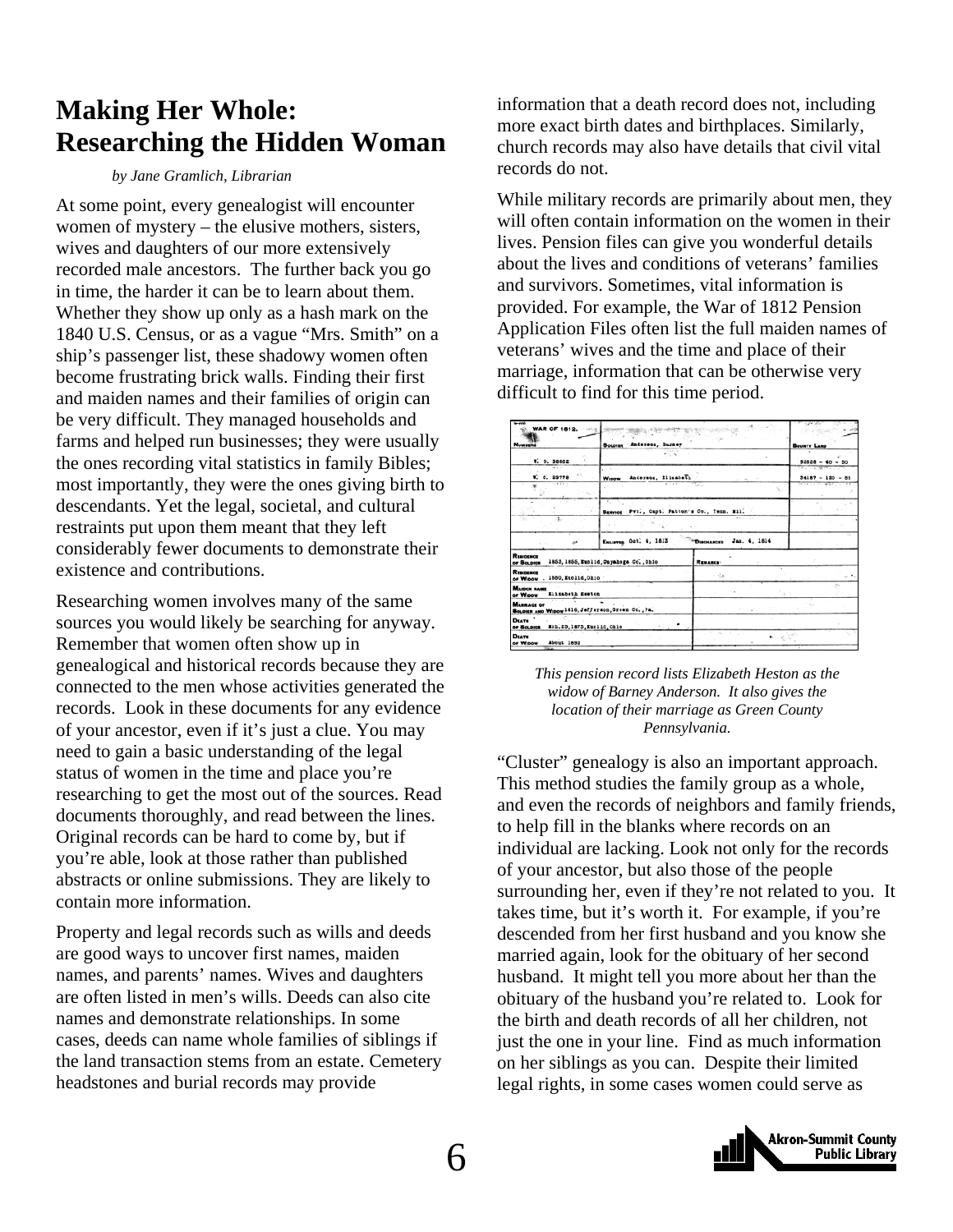### <span id="page-5-0"></span>**Making Her Whole: Researching the Hidden Woman**

#### *by Jane Gramlich, Librarian*

At some point, every genealogist will encounter women of mystery – the elusive mothers, sisters, wives and daughters of our more extensively recorded male ancestors. The further back you go in time, the harder it can be to learn about them. Whether they show up only as a hash mark on the 1840 U.S. Census, or as a vague "Mrs. Smith" on a ship's passenger list, these shadowy women often become frustrating brick walls. Finding their first and maiden names and their families of origin can be very difficult. They managed households and farms and helped run businesses; they were usually the ones recording vital statistics in family Bibles; most importantly, they were the ones giving birth to descendants. Yet the legal, societal, and cultural restraints put upon them meant that they left considerably fewer documents to demonstrate their existence and contributions.

Researching women involves many of the same sources you would likely be searching for anyway. Remember that women often show up in genealogical and historical records because they are connected to the men whose activities generated the records. Look in these documents for any evidence of your ancestor, even if it's just a clue. You may need to gain a basic understanding of the legal status of women in the time and place you're researching to get the most out of the sources. Read documents thoroughly, and read between the lines. Original records can be hard to come by, but if you're able, look at those rather than published abstracts or online submissions. They are likely to contain more information.

Property and legal records such as wills and deeds are good ways to uncover first names, maiden names, and parents' names. Wives and daughters are often listed in men's wills. Deeds can also cite names and demonstrate relationships. In some cases, deeds can name whole families of siblings if the land transaction stems from an estate. Cemetery headstones and burial records may provide

information that a death record does not, including more exact birth dates and birthplaces. Similarly, church records may also have details that civil vital records do not.

While military records are primarily about men, they will often contain information on the women in their lives. Pension files can give you wonderful details about the lives and conditions of veterans' families and survivors. Sometimes, vital information is provided. For example, the War of 1812 Pension Application Files often list the full maiden names of veterans' wives and the time and place of their marriage, information that can be otherwise very difficult to find for this time period.

| <b>WAR OF 1812.</b> 2008                                               |                                              |                             |                                   |
|------------------------------------------------------------------------|----------------------------------------------|-----------------------------|-----------------------------------|
| Numerie                                                                | SoLoun Anderson, Barney                      |                             | <b>BOUNTY LAND</b>                |
| W. O. 38862                                                            |                                              |                             | $92628 - 40 - 50$                 |
| W. C. 29778                                                            | Anderson, Elizabeth<br>Winner                |                             | The company<br>$34187 - 120 - 55$ |
| $-1111111$                                                             | $-11$                                        | <b>SEL</b>                  | 17.799111                         |
|                                                                        | Seavons Pvt., Capt. Patton's Co., Tenn. Mil. |                             |                                   |
| з.                                                                     |                                              | $88 - 14$                   |                                   |
| o                                                                      | ENLIFTED Oct. 4, 1813                        | "DISCHARGED<br>Jan. 4, 1814 |                                   |
| REMORNOS<br>or Soupier                                                 | 1853, 1855, Ezolid, Onyahoga Co., Ohio       | <b>REMARKS*</b>             |                                   |
| REMORRCE<br>1880.Euclid.Ohio<br>or Winow .                             |                                              | ×.<br>计控制                   |                                   |
| MAIDEN HAME<br>Elizabeth Heston<br>or Wagow                            |                                              |                             |                                   |
| <b>MARRIAGE OF</b><br>SOLDIER AND WIDOW1816, Jefferson, Green Co., Pa. |                                              |                             |                                   |
| DEATH '<br>Mch. 25, 1875, Euclid. Ohio<br><b>OF BOLDIER</b>            |                                              |                             |                                   |
| Deams<br>About 1892<br>or Wipow                                        |                                              | $-1.830$                    |                                   |

*This pension record lists Elizabeth Heston as the widow of Barney Anderson. It also gives the location of their marriage as Green County Pennsylvania.* 

"Cluster" genealogy is also an important approach. This method studies the family group as a whole, and even the records of neighbors and family friends, to help fill in the blanks where records on an individual are lacking. Look not only for the records of your ancestor, but also those of the people surrounding her, even if they're not related to you. It takes time, but it's worth it. For example, if you're descended from her first husband and you know she married again, look for the obituary of her second husband. It might tell you more about her than the obituary of the husband you're related to. Look for the birth and death records of all her children, not just the one in your line. Find as much information on her siblings as you can. Despite their limited legal rights, in some cases women could serve as

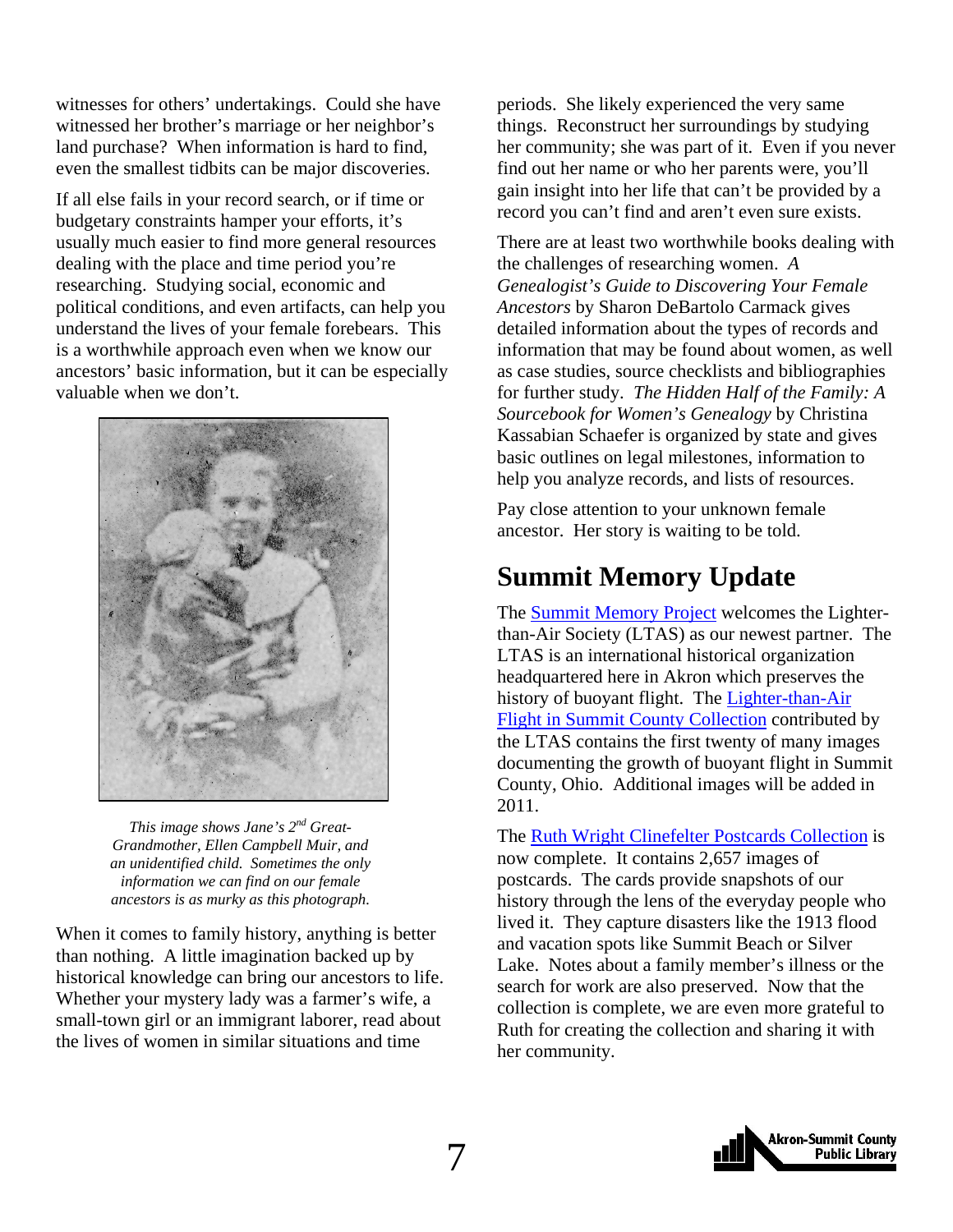<span id="page-6-0"></span>witnesses for others' undertakings. Could she have witnessed her brother's marriage or her neighbor's land purchase? When information is hard to find, even the smallest tidbits can be major discoveries.

If all else fails in your record search, or if time or budgetary constraints hamper your efforts, it's usually much easier to find more general resources dealing with the place and time period you're researching. Studying social, economic and political conditions, and even artifacts, can help you understand the lives of your female forebears. This is a worthwhile approach even when we know our ancestors' basic information, but it can be especially valuable when we don't.



*This image shows Jane's 2nd Great-Grandmother, Ellen Campbell Muir, and an unidentified child. Sometimes the only information we can find on our female ancestors is as murky as this photograph.* 

When it comes to family history, anything is better than nothing. A little imagination backed up by historical knowledge can bring our ancestors to life. Whether your mystery lady was a farmer's wife, a small-town girl or an immigrant laborer, read about the lives of women in similar situations and time

periods. She likely experienced the very same things. Reconstruct her surroundings by studying her community; she was part of it. Even if you never find out her name or who her parents were, you'll gain insight into her life that can't be provided by a record you can't find and aren't even sure exists.

There are at least two worthwhile books dealing with the challenges of researching women. *A Genealogist's Guide to Discovering Your Female Ancestors* by Sharon DeBartolo Carmack gives detailed information about the types of records and information that may be found about women, as well as case studies, source checklists and bibliographies for further study. *The Hidden Half of the Family: A Sourcebook for Women's Genealogy* by Christina Kassabian Schaefer is organized by state and gives basic outlines on legal milestones, information to help you analyze records, and lists of resources.

Pay close attention to your unknown female ancestor. Her story is waiting to be told.

### **Summit Memory Update**

The [Summit Memory Project](http://www.summitmemory.org/) welcomes the Lighterthan-Air Society (LTAS) as our newest partner. The LTAS is an international historical organization headquartered here in Akron which preserves the [history of buoyant flight. The Lighter-than-Air](http://www.summitmemory.org/cdm4/browse.php) Flight in Summit County Collection contributed by the LTAS contains the first twenty of many images documenting the growth of buoyant flight in Summit County, Ohio. Additional images will be added in 2011.

The [Ruth Wright Clinefelter Postcards Collection](http://www.summitmemory.org/cdm4/browse.php) is now complete. It contains 2,657 images of postcards. The cards provide snapshots of our history through the lens of the everyday people who lived it. They capture disasters like the 1913 flood and vacation spots like Summit Beach or Silver Lake. Notes about a family member's illness or the search for work are also preserved. Now that the collection is complete, we are even more grateful to Ruth for creating the collection and sharing it with her community.

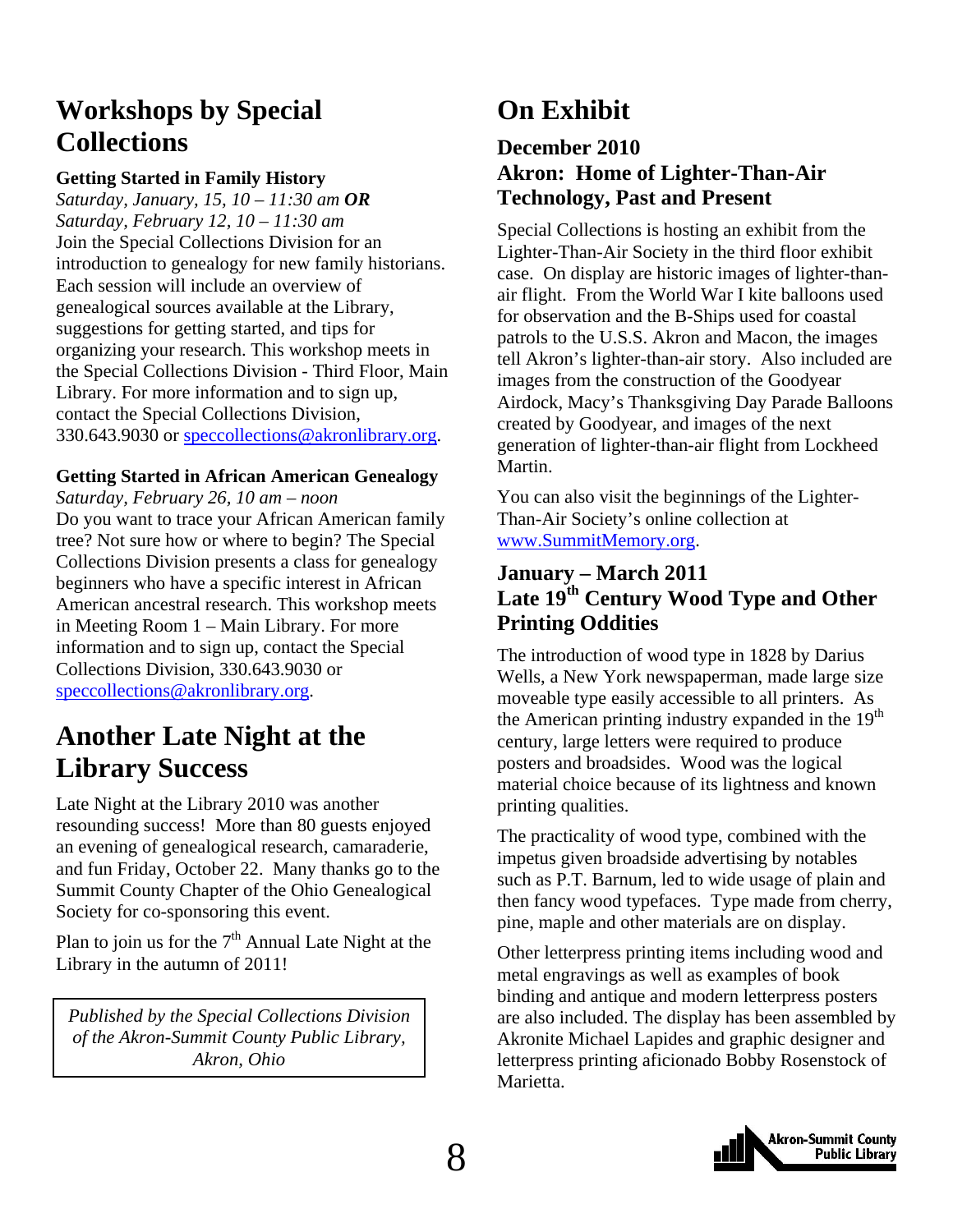### <span id="page-7-0"></span>**Workshops by Special Collections**

#### **Getting Started in Family History**

*Saturday, January, 15, 10 – 11:30 am OR Saturday, February 12, 10 – 11:30 am*  Join the Special Collections Division for an introduction to genealogy for new family historians. Each session will include an overview of genealogical sources available at the Library, suggestions for getting started, and tips for organizing your research. This workshop meets in the Special Collections Division - Third Floor, Main Library. For more information and to sign up, contact the Special Collections Division, 330.643.9030 or speccollections@akronlibrary.org.

#### **Getting Started in African American Genealogy**

*Saturday, February 26, 10 am – noon*  Do you want to trace your African American family tree? Not sure how or where to begin? The Special Collections Division presents a class for genealogy beginners who have a specific interest in African American ancestral research. This workshop meets in Meeting Room 1 – Main Library. For more information and to sign up, contact the Special Collections Division, 330.643.9030 or speccollections@akronlibrary.org.

### **Another Late Night at the Library Success**

Late Night at the Library 2010 was another resounding success! More than 80 guests enjoyed an evening of genealogical research, camaraderie, and fun Friday, October 22. Many thanks go to the Summit County Chapter of the Ohio Genealogical Society for co-sponsoring this event.

Plan to join us for the  $7<sup>th</sup>$  Annual Late Night at the Library in the autumn of 2011!

*Published by the Special Collections Division of the Akron-Summit County Public Library, Akron, Ohio* 

### **On Exhibit**

#### **December 2010 Akron: Home of Lighter-Than-Air Technology, Past and Present**

Special Collections is hosting an exhibit from the Lighter-Than-Air Society in the third floor exhibit case. On display are historic images of lighter-thanair flight. From the World War I kite balloons used for observation and the B-Ships used for coastal patrols to the U.S.S. Akron and Macon, the images tell Akron's lighter-than-air story. Also included are images from the construction of the Goodyear Airdock, Macy's Thanksgiving Day Parade Balloons created by Goodyear, and images of the next generation of lighter-than-air flight from Lockheed Martin.

You can also visit the beginnings of the Lighter-Than-Air Society's online collection at [www.SummitMemory.org.](http://www.summitmemory.org/)

#### **January – March 2011 Late 19th Century Wood Type and Other Printing Oddities**

The introduction of wood type in 1828 by Darius Wells, a New York newspaperman, made large size moveable type easily accessible to all printers. As the American printing industry expanded in the 19<sup>th</sup> century, large letters were required to produce posters and broadsides. Wood was the logical material choice because of its lightness and known printing qualities.

The practicality of wood type, combined with the impetus given broadside advertising by notables such as P.T. Barnum, led to wide usage of plain and then fancy wood typefaces. Type made from cherry, pine, maple and other materials are on display.

Other letterpress printing items including wood and metal engravings as well as examples of book binding and antique and modern letterpress posters are also included. The display has been assembled by Akronite Michael Lapides and graphic designer and letterpress printing aficionado Bobby Rosenstock of Marietta.

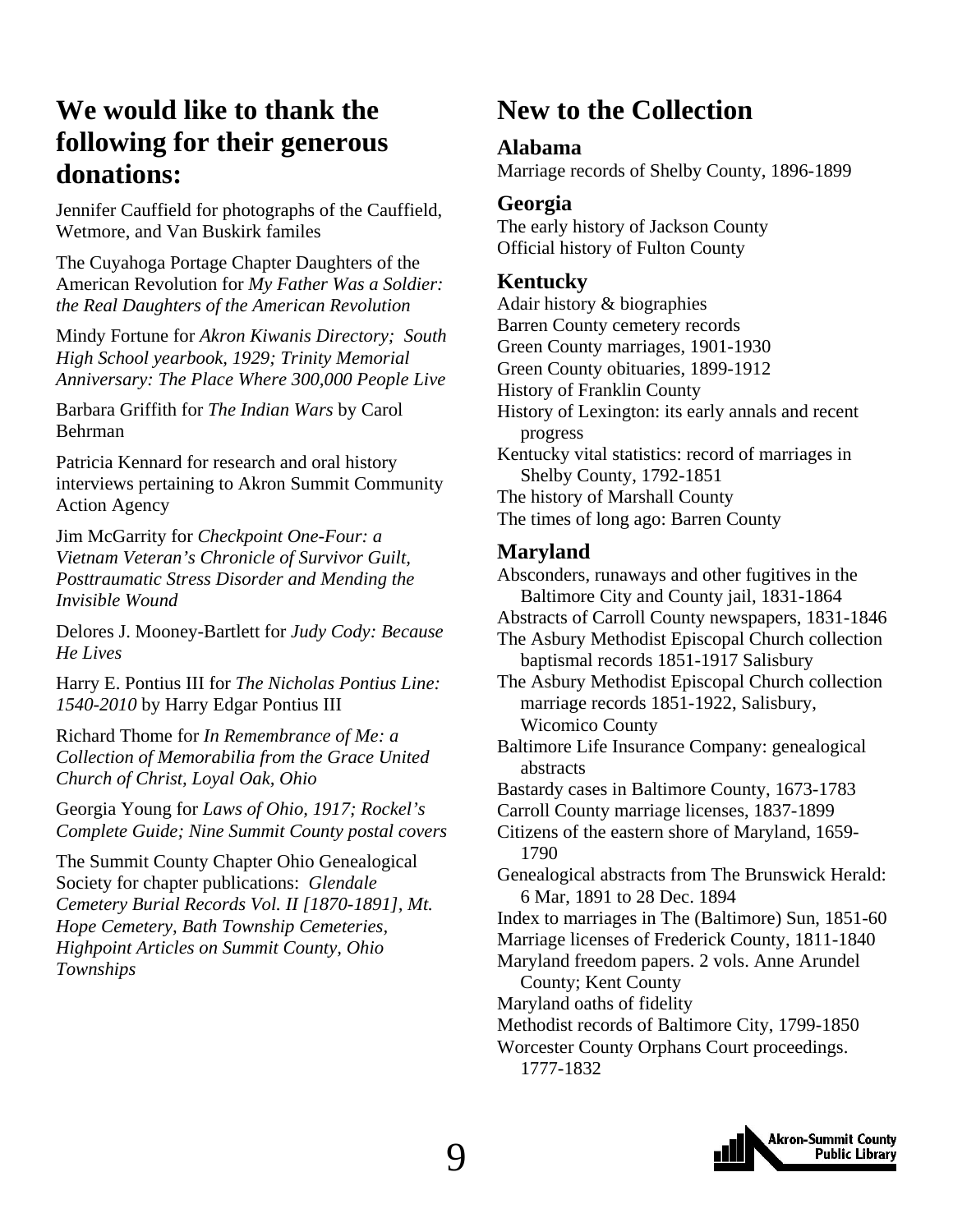### <span id="page-8-0"></span>**We would like to thank the following for their generous donations:**

Jennifer Cauffield for photographs of the Cauffield, Wetmore, and Van Buskirk familes

The Cuyahoga Portage Chapter Daughters of the American Revolution for *My Father Was a Soldier: the Real Daughters of the American Revolution* 

Mindy Fortune for *Akron Kiwanis Directory; South High School yearbook, 1929; Trinity Memorial Anniversary: The Place Where 300,000 People Live* 

Barbara Griffith for *The Indian Wars* by Carol Behrman

Patricia Kennard for research and oral history interviews pertaining to Akron Summit Community Action Agency

Jim McGarrity for *Checkpoint One-Four: a Vietnam Veteran's Chronicle of Survivor Guilt, Posttraumatic Stress Disorder and Mending the Invisible Wound* 

Delores J. Mooney-Bartlett for *Judy Cody: Because He Lives* 

Harry E. Pontius III for *The Nicholas Pontius Line: 1540-2010* by Harry Edgar Pontius III

Richard Thome for *In Remembrance of Me: a Collection of Memorabilia from the Grace United Church of Christ, Loyal Oak, Ohio* 

Georgia Young for *Laws of Ohio, 1917; Rockel's Complete Guide; Nine Summit County postal covers* 

The Summit County Chapter Ohio Genealogical Society for chapter publications: *Glendale Cemetery Burial Records Vol. II [1870-1891], Mt. Hope Cemetery, Bath Township Cemeteries, Highpoint Articles on Summit County, Ohio Townships*

### **New to the Collection**

#### **Alabama**

Marriage records of Shelby County, 1896-1899

#### **Georgia**

The early history of Jackson County Official history of Fulton County

#### **Kentucky**

Adair history & biographies Barren County cemetery records Green County marriages, 1901-1930 Green County obituaries, 1899-1912 History of Franklin County History of Lexington: its early annals and recent progress Kentucky vital statistics: record of marriages in Shelby County, 1792-1851 The history of Marshall County The times of long ago: Barren County

#### **Maryland**

Absconders, runaways and other fugitives in the Baltimore City and County jail, 1831-1864 Abstracts of Carroll County newspapers, 1831-1846 The Asbury Methodist Episcopal Church collection baptismal records 1851-1917 Salisbury The Asbury Methodist Episcopal Church collection marriage records 1851-1922, Salisbury, Wicomico County Baltimore Life Insurance Company: genealogical abstracts Bastardy cases in Baltimore County, 1673-1783 Carroll County marriage licenses, 1837-1899 Citizens of the eastern shore of Maryland, 1659- 1790 Genealogical abstracts from The Brunswick Herald: 6 Mar, 1891 to 28 Dec. 1894 Index to marriages in The (Baltimore) Sun, 1851-60 Marriage licenses of Frederick County, 1811-1840 Maryland freedom papers. 2 vols. Anne Arundel County; Kent County Maryland oaths of fidelity Methodist records of Baltimore City, 1799-1850 Worcester County Orphans Court proceedings. 1777-1832

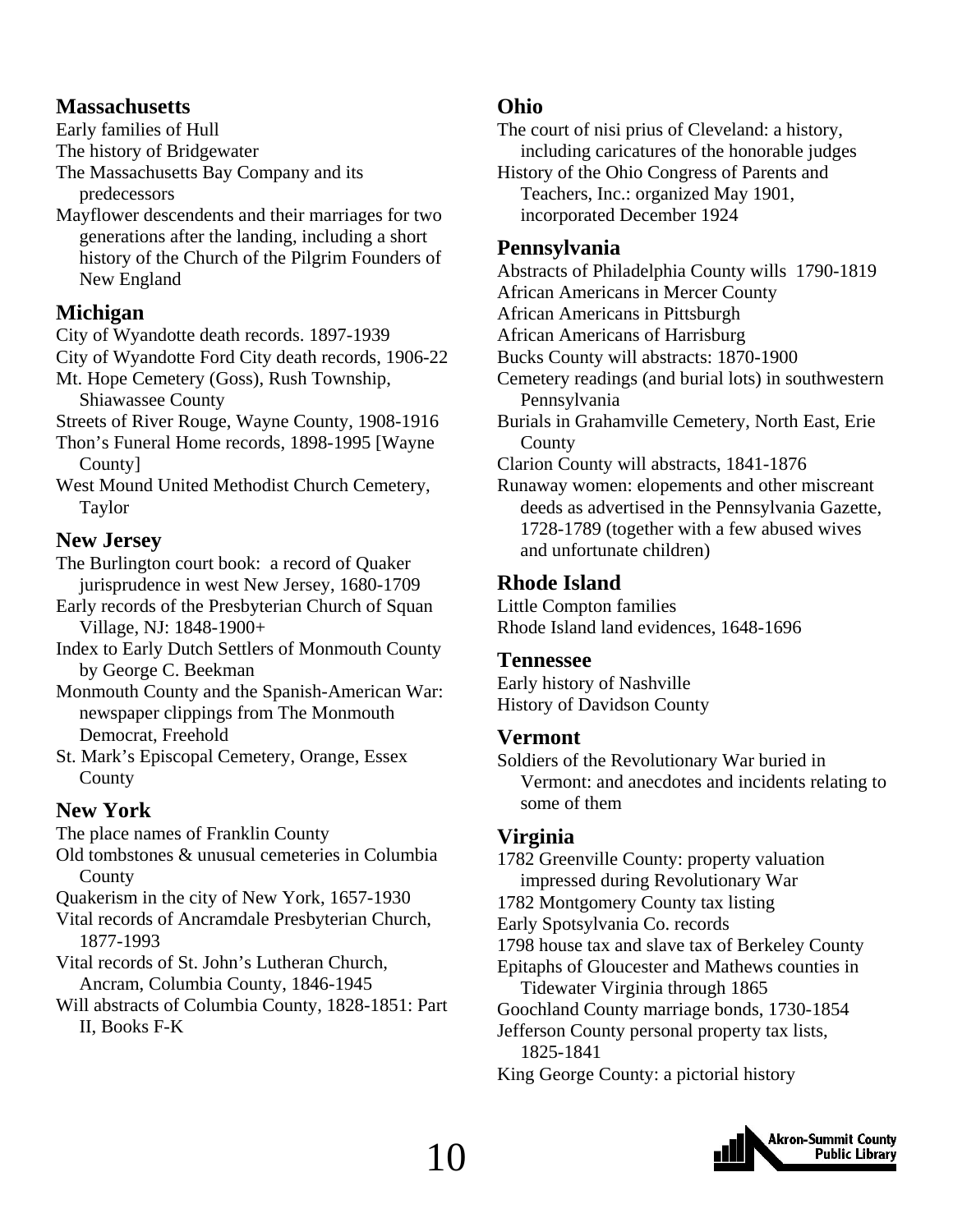#### **Massachusetts**

Early families of Hull

The history of Bridgewater

- The Massachusetts Bay Company and its predecessors
- Mayflower descendents and their marriages for two generations after the landing, including a short history of the Church of the Pilgrim Founders of New England

#### **Michigan**

City of Wyandotte death records. 1897-1939

City of Wyandotte Ford City death records, 1906-22

- Mt. Hope Cemetery (Goss), Rush Township, Shiawassee County
- Streets of River Rouge, Wayne County, 1908-1916
- Thon's Funeral Home records, 1898-1995 [Wayne County]
- West Mound United Methodist Church Cemetery, Taylor

#### **New Jersey**

- The Burlington court book: a record of Quaker jurisprudence in west New Jersey, 1680-1709
- Early records of the Presbyterian Church of Squan Village, NJ: 1848-1900+
- Index to Early Dutch Settlers of Monmouth County by George C. Beekman

Monmouth County and the Spanish-American War: newspaper clippings from The Monmouth Democrat, Freehold

St. Mark's Episcopal Cemetery, Orange, Essex County

#### **New York**

The place names of Franklin County

Old tombstones & unusual cemeteries in Columbia **County** 

Quakerism in the city of New York, 1657-1930

- Vital records of Ancramdale Presbyterian Church, 1877-1993
- Vital records of St. John's Lutheran Church, Ancram, Columbia County, 1846-1945
- Will abstracts of Columbia County, 1828-1851: Part II, Books F-K

#### **Ohio**

The court of nisi prius of Cleveland: a history, including caricatures of the honorable judges

History of the Ohio Congress of Parents and Teachers, Inc.: organized May 1901, incorporated December 1924

#### **Pennsylvania**

Abstracts of Philadelphia County wills 1790-1819

African Americans in Mercer County

- African Americans in Pittsburgh
- African Americans of Harrisburg
- Bucks County will abstracts: 1870-1900
- Cemetery readings (and burial lots) in southwestern Pennsylvania

Burials in Grahamville Cemetery, North East, Erie **County** 

Clarion County will abstracts, 1841-1876

Runaway women: elopements and other miscreant deeds as advertised in the Pennsylvania Gazette, 1728-1789 (together with a few abused wives and unfortunate children)

#### **Rhode Island**

Little Compton families Rhode Island land evidences, 1648-1696

#### **Tennessee**

Early history of Nashville History of Davidson County

#### **Vermont**

Soldiers of the Revolutionary War buried in Vermont: and anecdotes and incidents relating to some of them

#### **Virginia**

1782 Greenville County: property valuation impressed during Revolutionary War 1782 Montgomery County tax listing Early Spotsylvania Co. records 1798 house tax and slave tax of Berkeley County Epitaphs of Gloucester and Mathews counties in Tidewater Virginia through 1865 Goochland County marriage bonds, 1730-1854 Jefferson County personal property tax lists, 1825-1841 King George County: a pictorial history

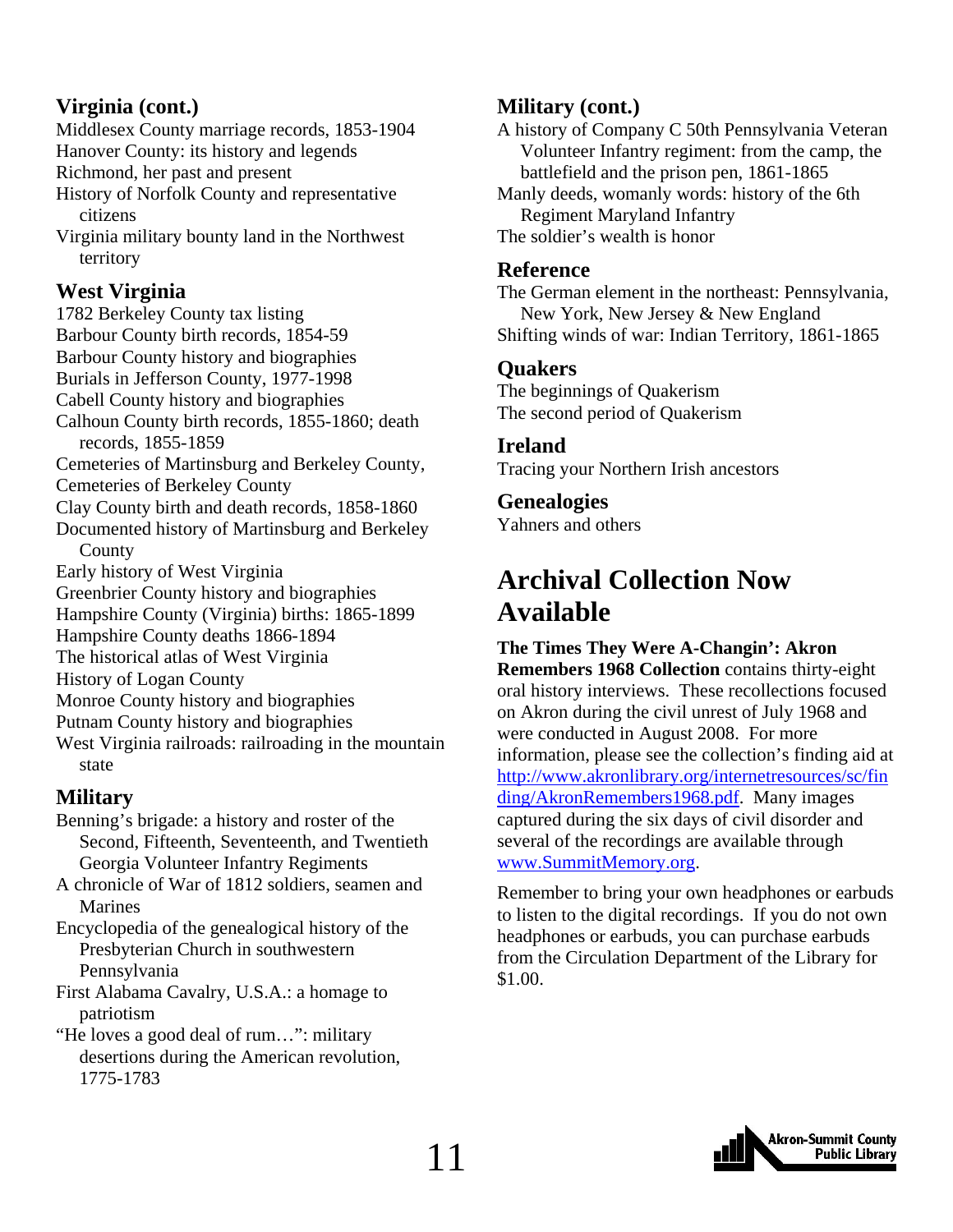#### <span id="page-10-0"></span>**Virginia (cont.)**

Middlesex County marriage records, 1853-1904 Hanover County: its history and legends Richmond, her past and present

History of Norfolk County and representative citizens

Virginia military bounty land in the Northwest territory

#### **West Virginia**

1782 Berkeley County tax listing Barbour County birth records, 1854-59 Barbour County history and biographies Burials in Jefferson County, 1977-1998 Cabell County history and biographies Calhoun County birth records, 1855-1860; death records, 1855-1859 Cemeteries of Martinsburg and Berkeley County, Cemeteries of Berkeley County Clay County birth and death records, 1858-1860 Documented history of Martinsburg and Berkeley **County** Early history of West Virginia Greenbrier County history and biographies Hampshire County (Virginia) births: 1865-1899 Hampshire County deaths 1866-1894 The historical atlas of West Virginia History of Logan County Monroe County history and biographies Putnam County history and biographies

West Virginia railroads: railroading in the mountain state

#### **Military**

- Benning's brigade: a history and roster of the Second, Fifteenth, Seventeenth, and Twentieth Georgia Volunteer Infantry Regiments
- A chronicle of War of 1812 soldiers, seamen and Marines

Encyclopedia of the genealogical history of the Presbyterian Church in southwestern Pennsylvania

First Alabama Cavalry, U.S.A.: a homage to patriotism

"He loves a good deal of rum…": military desertions during the American revolution, 1775-1783

#### **Military (cont.)**

A history of Company C 50th Pennsylvania Veteran Volunteer Infantry regiment: from the camp, the battlefield and the prison pen, 1861-1865 Manly deeds, womanly words: history of the 6th Regiment Maryland Infantry

The soldier's wealth is honor

#### **Reference**

The German element in the northeast: Pennsylvania, New York, New Jersey & New England Shifting winds of war: Indian Territory, 1861-1865

#### **Quakers**

The beginnings of Quakerism The second period of Quakerism

#### **Ireland**

Tracing your Northern Irish ancestors

#### **Genealogies**

Yahners and others

### **Archival Collection Now Available**

**The Times They Were A-Changin': Akron Remembers 1968 Collection** contains thirty-eight oral history interviews. These recollections focused on Akron during the civil unrest of July 1968 and were conducted in August 2008. For more information, please see the collection's finding aid at [http://www.akronlibrary.org/internetresources/sc/fin](http://www.akronlibrary.org/internetresources/sc/finding/AkronRemembers1968.pdf) ding/AkronRemembers1968.pdf. Many images captured during the six days of civil disorder and several of the recordings are available through www.SummitMemory.org.

Remember to bring your own headphones or earbuds to listen to the digital recordings. If you do not own headphones or earbuds, you can purchase earbuds from the Circulation Department of the Library for \$1.00.